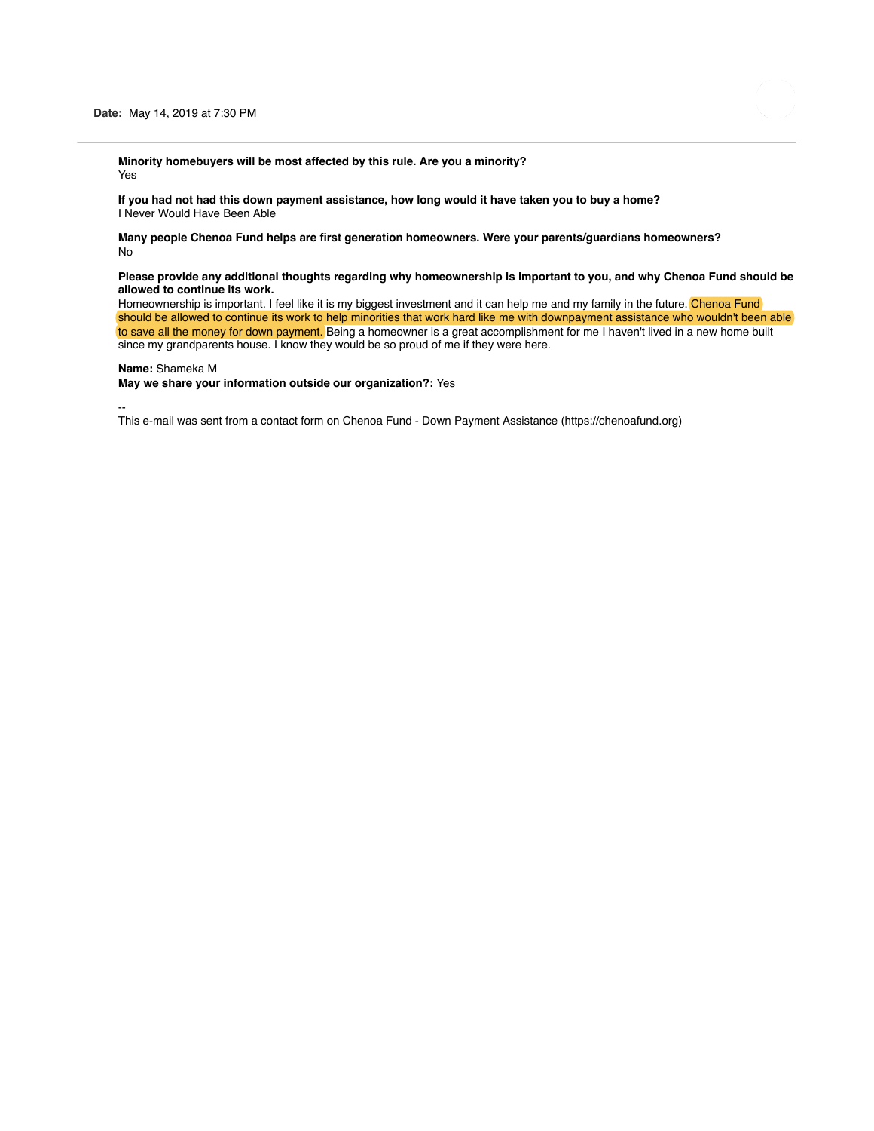

**Minority homebuyers will be most affected by this rule. Are you a minority?** Yes

**If you had not had this down payment assistance, how long would it have taken you to buy a home?** I Never Would Have Been Able

**Many people Chenoa Fund helps are first generation homeowners. Were your parents/guardians homeowners?** No

### **Please provide any additional thoughts regarding why homeownership is important to you, and why Chenoa Fund should be allowed to continue its work.**

Homeownership is important. I feel like it is my biggest investment and it can help me and my family in the future. Chenoa Fund should be allowed to continue its work to help minorities that work hard like me with downpayment assistance who wouldn't been able to save all the money for down payment. Being a homeowner is a great accomplishment for me I haven't lived in a new home built since my grandparents house. I know they would be so proud of me if they were here.

#### **Name:** Shameka M

**May we share your information outside our organization?:** Yes

--

This e-mail was sent from a contact form on Chenoa Fund - Down Payment Assistance (https://chenoafund.org)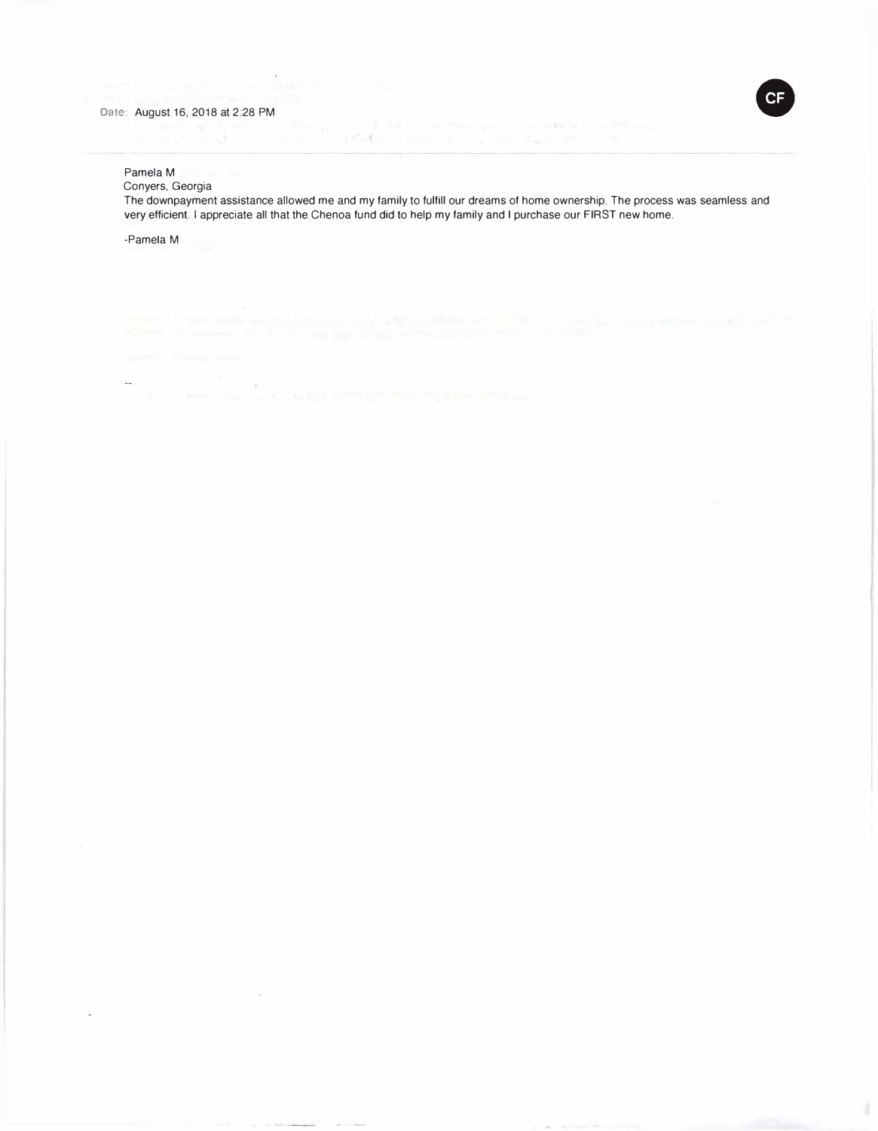

## Pamela M

Conyers, Georgia

The downpayment assistance allowed me and my family to fulfill our dreams of home ownership. The process was seamless and very efficient. I appreciate all that the Chenoa fund did to help my family and I purchase our FIRST new home.

-Pamela M

 $\sim$ ÷.

 $\mathcal{L}_{\text{in}}$ 

J.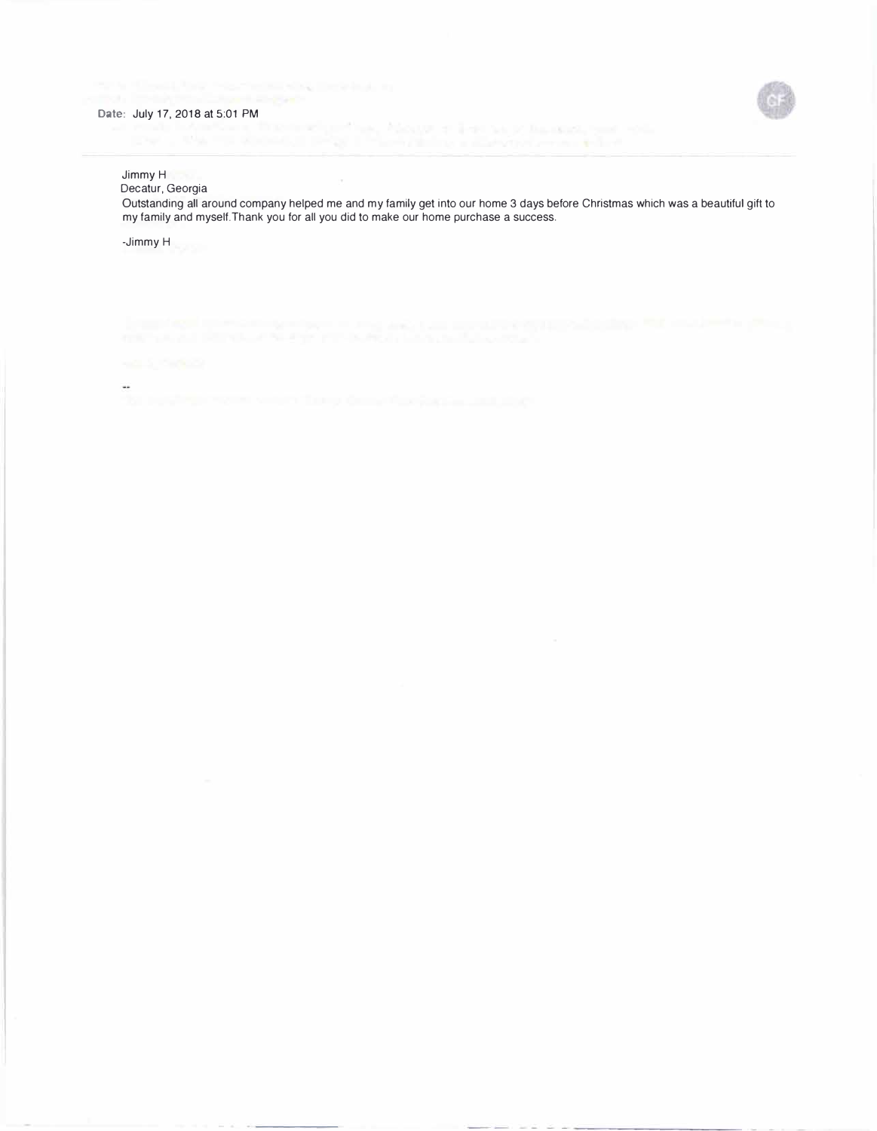# **Date:** July 17, 2018 at 5:01 PM



## Jimmy H

Decatur, Georgia

Outstanding all around company helped me and my family get into our home 3 days before Christmas which was a beautiful gift to my family and myself.Thank you for all you did to make our home purchase a success.

-Jimmy H

ä.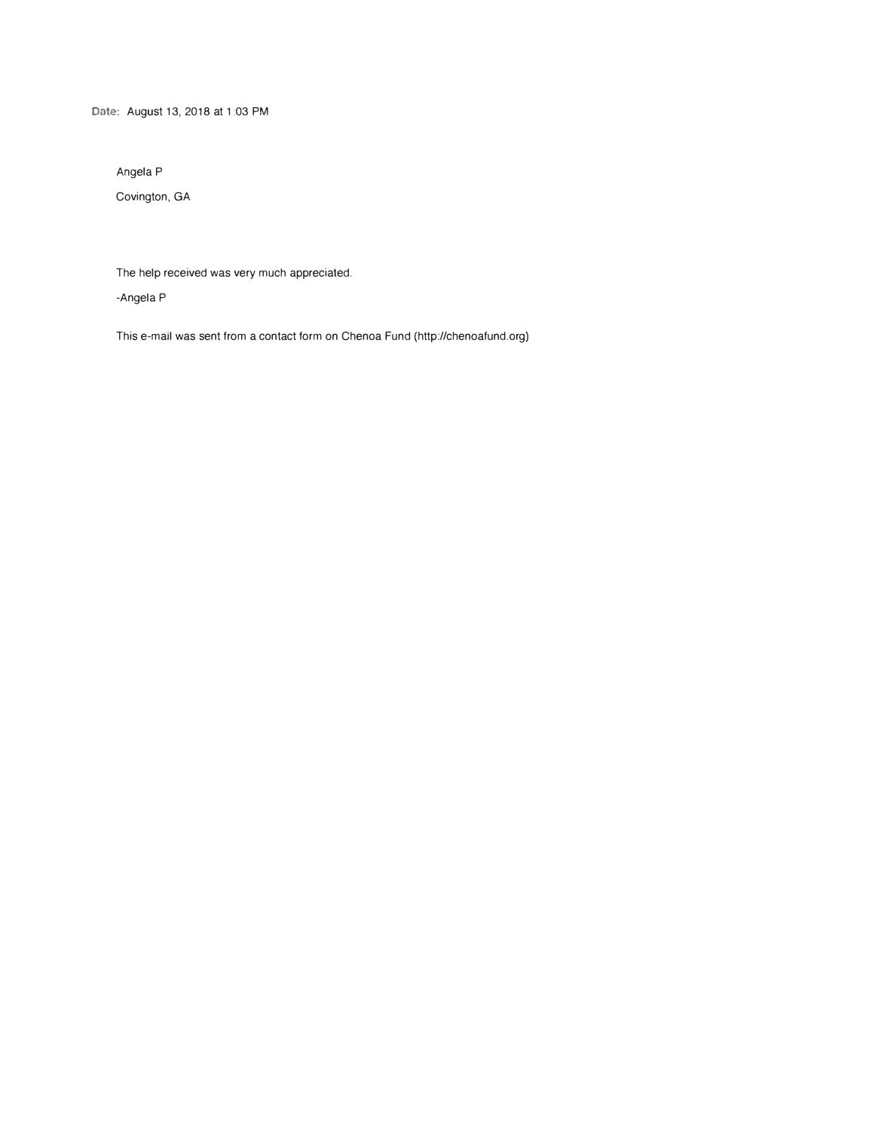**Date:** August 13, 2018 at 1 :03 PM

Angela P

Covington, GA

The help received was very much appreciated.

-Angela P

This e-mail was sent from a contact form on Chenoa Fund (http://chenoafund.org)